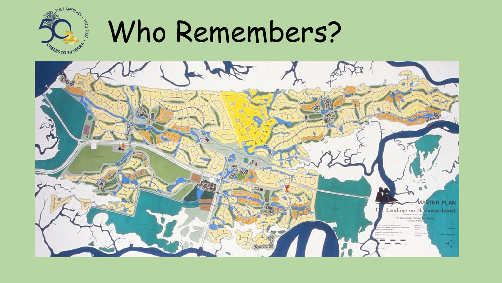

### Who Remembers?

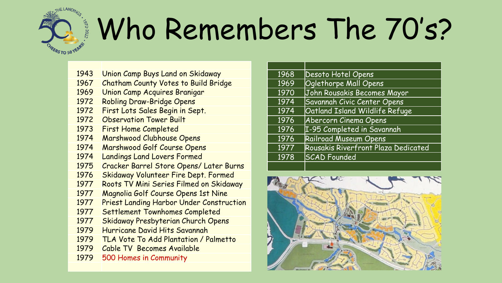## $672 - 2022$ .

## Who Remembers The 70's?

- Union Camp Buys Land on Skidaway
- Chatham County Votes to Build Bridge
- Union Camp Acquires Branigar
- Robling Draw-Bridge Opens
- First Lots Sales Begin in Sept.
- Observation Tower Built
- First Home Completed
- Marshwood Clubhouse Opens
- Marshwood Golf Course Opens
- Landings Land Lovers Formed
- Cracker Barrel Store Opens/ Later Burns
- Skidaway Volunteer Fire Dept. Formed
- Roots TV Mini Series Filmed on Skidaway
- Magnolia Golf Course Opens 1st Nine
- Priest Landing Harbor Under Construction
- Settlement Townhomes Completed
- Skidaway Presbyterian Church Opens
- Hurricane David Hits Savannah
- TLA Vote To Add Plantation / Palmetto
- Cable TV Becomes Available
- 500 Homes in Community

| 1968 | Desoto Hotel Opens                  |
|------|-------------------------------------|
| 1969 | <b>Oglethorpe Mall Opens</b>        |
| 1970 | John Rousakis Becomes Mayor         |
| 1974 | Savannah Civic Center Opens         |
| 1974 | Oatland Island Wildlife Refuge      |
| 1976 | Abercorn Cinema Opens               |
| 1976 | I-95 Completed in Savannah          |
| 1976 | <b>Railroad Museum Opens</b>        |
| 1977 | Rousakis Riverfront Plaza Dedicated |
| 1978 | <b>SCAD</b> Founded                 |
|      |                                     |

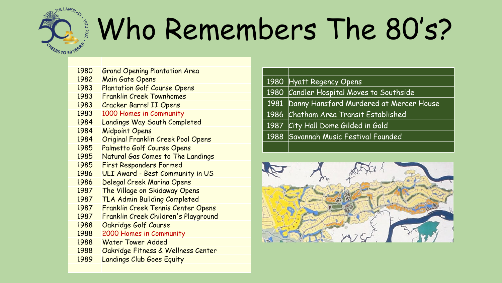# EERS TO 50 YEARS

### Who Remembers The 80's?

- Grand Opening Plantation Area
- Main Gate Opens
- Plantation Golf Course Opens
- Franklin Creek Townhomes
- Cracker Barrel II Opens
- 1000 Homes in Community
- Landings Way South Completed
- Midpoint Opens
- Original Franklin Creek Pool Opens
- Palmetto Golf Course Opens
- Natural Gas Comes to The Landings
- First Responders Formed
- ULI Award Best Community in US
- Delegal Creek Marina Opens
- The Village on Skidaway Opens
- TLA Admin Building Completed
- Franklin Creek Tennis Center Opens
- Franklin Creek Children's Playground
- Oakridge Golf Course
- 2000 Homes in Community
- Water Tower Added
- Oakridge Fitness & Wellness Center
- Landings Club Goes Equity

|  | 1980 Hyatt Regency Opens                     |
|--|----------------------------------------------|
|  | 1980 Candler Hospital Moves to Southside     |
|  | 1981 Danny Hansford Murdered at Mercer House |
|  | 1986 Chatham Area Transit Established        |
|  | 1987 City Hall Dome Gilded in Gold           |
|  | 1988 Savannah Music Festival Founded         |
|  |                                              |

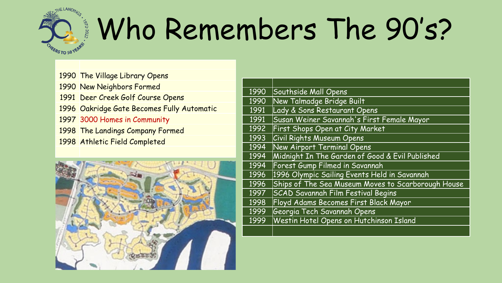

### Who Remembers The 90's?

 The Village Library Opens New Neighbors Formed Deer Creek Golf Course Opens Oakridge Gate Becomes Fully Automatic 3000 Homes in Community The Landings Company Formed Athletic Field Completed



| 1990 | Southside Mall Opens                               |
|------|----------------------------------------------------|
| 1990 | New Talmadge Bridge Built                          |
| 1991 | Lady & Sons Restaurant Opens                       |
| 1991 | Susan Weiner Savannah's First Female Mayor         |
| 1992 | <b>First Shops Open at City Market</b>             |
| 1993 | <b>Civil Rights Museum Opens</b>                   |
| 1994 | New Airport Terminal Opens                         |
| 1994 | Midnight In The Garden of Good & Evil Published    |
| 1994 | Forest Gump Filmed in Savannah                     |
| 1996 | 1996 Olympic Sailing Events Held in Savannah       |
| 1996 | Ships of The Sea Museum Moves to Scarborough House |
| 1997 | <b>SCAD Savannah Film Festival Begins</b>          |
| 1998 | Floyd Adams Becomes First Black Mayor              |
| 1999 | Georgia Tech Savannah Opens                        |
| 1999 | Westin Hotel Opens on Hutchinson Island            |
|      |                                                    |